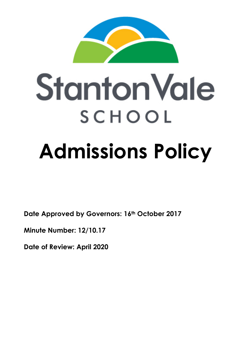

# **Stanton Vale** SCHOOL **Admissions Policy**

**Date Approved by Governors: 16th October 2017**

**Minute Number: 12/10.17**

**Date of Review: April 2020**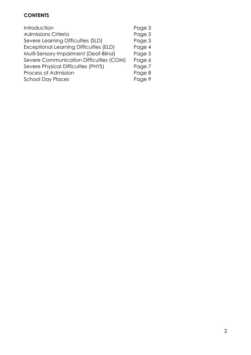## **CONTENTS**

| Introduction                                   | Page 3 |
|------------------------------------------------|--------|
| <b>Admissions Criteria</b>                     | Page 3 |
| Severe Learning Difficulties (SLD)             | Page 3 |
| <b>Exceptional Learning Difficulties (ELD)</b> | Page 4 |
| Multi-Sensory Impairment (Deaf-Blind)          | Page 5 |
| Severe Communication Difficulties (COM)        | Page 6 |
| Severe Physical Difficulties (PHYS)            | Page 7 |
| Process of Admission                           | Page 8 |
| <b>School Day Places</b>                       | Page 9 |
|                                                |        |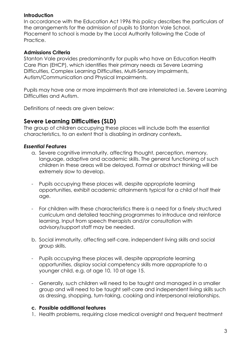#### **Introduction**

In accordance with the Education Act 1996 this policy describes the particulars of the arrangements for the admission of pupils to Stanton Vale School. Placement to school is made by the Local Authority following the Code of Practice.

#### **Admissions Criteria**

Stanton Vale provides predominantly for pupils who have an Education Health Care Plan (EHCP), which identifies their primary needs as Severe Learning Difficulties, Complex Learning Difficulties, Multi-Sensory Impairments, Autism/Communication and Physical Impairments.

Pupils may have one or more impairments that are interrelated i.e. Severe Learning Difficulties and Autism.

Definitions of needs are given below:

# **Severe Learning Difficulties (SLD)**

The group of children occupying these places will include both the essential characteristics, to an extent that is disabling in ordinary contexts**.** 

#### *Essential Features*

- a. Severe cognitive immaturity, affecting thought, perception, memory, language, adaptive and academic skills. The general functioning of such children in these areas will be delayed. Formal or abstract thinking will be extremely slow to develop.
- Pupils occupying these places will, despite appropriate learning opportunities, exhibit academic attainments typical for a child of half their age.
- For children with these characteristics there is a need for a finely structured curriculum and detailed teaching programmes to introduce and reinforce learning. Input from speech therapists and/or consultation with advisory/support staff may be needed.
- b. Social immaturity, affecting self-care, independent living skills and social group skills.
- Pupils occupying these places will, despite appropriate learning opportunities, display social competency skills more appropriate to a younger child, e.g. at age 10, 10 at age 15.
- Generally, such children will need to be taught and managed in a smaller group and will need to be taught self-care and independent living skills such as dressing, shopping, turn-taking, cooking and interpersonal relationships.

#### **c. Possible additional features**

1. Health problems, requiring close medical oversight and frequent treatment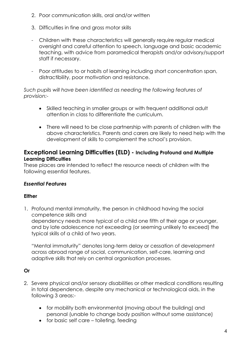- 2. Poor communication skills, oral and/or written
- 3. Difficulties in fine and gross motor skills
- Children with these characteristics will generally require regular medical oversight and careful attention to speech, language and basic academic teaching, with advice from paramedical therapists and/or advisory/support staff if necessary.
- Poor attitudes to or habits of learning including short concentration span, distractibility, poor motivation and resistance.

## *Such pupils will have been identified as needing the following features of provision:-*

- Skilled teaching in smaller groups or with frequent additional adult attention in class to differentiate the curriculum.
- There will need to be close partnership with parents of children with the above characteristics. Parents and carers are likely to need help with the development of skills to complement the school's provision.

## **Exceptional Learning Difficulties (ELD) - Including Profound and Multiple Learning Difficulties**

These places are intended to reflect the resource needs of children with the following essential features.

# *Essential Features*

## **Either**

1. Profound mental immaturity, the person in childhood having the social competence skills and dependency needs more typical of a child one fifth of their age or younger, and by late adolescence not exceeding (or seeming unlikely to exceed) the typical skills of a child of two years.

"Mental immaturity" denotes long-term delay or cessation of development across abroad range of social, communication, self-care, learning and adaptive skills that rely on central organisation processes.

# **Or**

- 2. Severe physical and/or sensory disabilities or other medical conditions resulting in total dependence, despite any mechanical or technological aids, in the following 3 areas:-
	- for mobility both environmental (moving about the building) and personal (unable to change body position without some assistance)
	- for basic self care toileting, feeding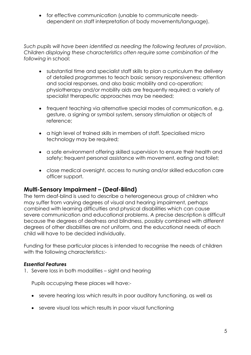for effective communication (unable to communicate needsdependent on staff interpretation of body movements/language).

*Such pupils will have been identified as needing the following features of provision*. *Children displaying these characteristics often require some combination of the following* in school:

- substantial time and specialist staff skills to plan a curriculum the delivery of detailed programmes to teach basic sensory responsiveness; attention and social responses, and also basic mobility and co-operation; physiotherapy and/or mobility aids are frequently required; a variety of specialist therapeutic approaches may be needed;
- frequent teaching via alternative special modes of communication, e.g. gesture, a signing or symbol system, sensory stimulation or objects of reference;
- a high level of trained skills in members of staff. Specialised micro technology may be required;
- a safe environment offering skilled supervision to ensure their health and safety; frequent personal assistance with movement, eating and toilet;
- close medical oversight, access to nursing and/or skilled education care officer support.

# **Multi-Sensory Impairment – (Deaf-Blind)**

The term deaf-blind is used to describe a heterogeneous group of children who may suffer from varying degrees of visual and hearing impairment, perhaps combined with learning difficulties and physical disabilities which can cause severe communication and educational problems. A precise description is difficult because the degrees of deafness and blindness, possibly combined with different degrees of other disabilities are not uniform, and the educational needs of each child will have to be decided individually.

Funding for these particular places is intended to recognise the needs of children with the following characteristics:-

### *Essential Features*

1. Severe loss in both modalities – sight and hearing

Pupils occupying these places will have:-

- severe hearing loss which results in poor auditory functioning, as well as
- severe visual loss which results in poor visual functioning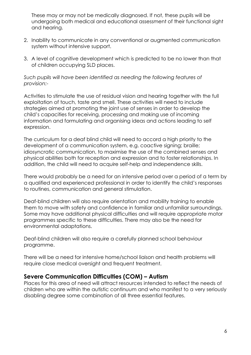These may or may not be medically diagnosed. If not, these pupils will be undergoing both medical and educational assessment of their functional sight and hearing.

- 2. Inability to communicate in any conventional or augmented communication system without intensive support.
- 3. A level of cognitive development which is predicted to be no lower than that of children occupying SLD places.

*Such pupils will have been identified as needing the following features of provision:-*

Activities to stimulate the use of residual vision and hearing together with the full exploitation of touch, taste and smell. These activities will need to include strategies aimed at promoting the joint use of senses in order to develop the child's capacities for receiving, processing and making use of incoming information and formulating and organising ideas and actions leading to self expression.

The curriculum for a deaf blind child will need to accord a high priority to the development of a communication system, e.g. coactive signing; braille; idiosyncratic communication, to maximise the use of the combined senses and physical abilities both for reception and expression and to foster relationships. In addition, the child will need to acquire self-help and independence skills.

There would probably be a need for an intensive period over a period of a term by a qualified and experienced professional in order to identify the child's responses to routines, communication and general stimulation.

Deaf-blind children will also require orientation and mobility training to enable them to move with safety and confidence in familiar and unfamiliar surroundings. Some may have additional physical difficulties and will require appropriate motor programmes specific to these difficulties. There may also be the need for environmental adaptations.

Deaf-blind children will also require a carefully planned school behaviour programme.

There will be a need for intensive home/school liaison and health problems will require close medical oversight and frequent treatment.

# **Severe Communication Difficulties (COM) – Autism**

Places for this area of need will attract resources intended to reflect the needs of children who are within the autistic continuum and who manifest to a very seriously disabling degree some combination of all three essential features.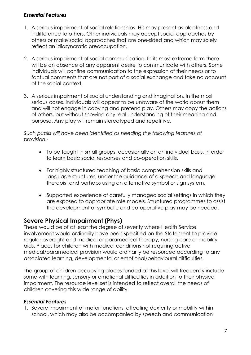### *Essential Features*

- 1. A serious impairment of social relationships. His may present as aloofness and indifference to others. Other individuals may accept social approaches by others or make social approaches that are one-sided and which may solely reflect an idiosyncratic preoccupation.
- 2. A serious impairment of social communication. In its most extreme form there will be an absence of any apparent desire to communicate with others. Some individuals will confine communication to the expression of their needs or to factual comments that are not part of a social exchange and take no account of the social context.
- 3. A serious impairment of social understanding and imagination. In the most serious cases, individuals will appear to be unaware of the world about them and will not engage in copying and pretend play. Others may copy the actions of others, but without showing any real understanding of their meaning and purpose. Any play will remain stereotyped and repetitive.

*Such pupils will have been identified as needing the following features of provision:-*

- To be taught in small groups, occasionally on an individual basis, in order to learn basic social responses and co-operation skills.
- For highly structured teaching of basic comprehension skills and language structures, under the guidance of a speech and language therapist and perhaps using an alternative symbol or sign system.
- Supported experience of carefully managed social settings in which they are exposed to appropriate role models. Structured programmes to assist the development of symbolic and co-operative play may be needed.

# **Severe Physical Impairment (Phys)**

These would be of at least the degree of severity where Health Service involvement would ordinarily have been specified on the Statement to provide regular oversight and medical or paramedical therapy, nursing care or mobility aids. Places for children with medical conditions not requiring active medical/paramedical provision would ordinarily be resourced according to any associated learning, developmental or emotional/behavioural difficulties.

The group of children occupying places funded at this level will frequently include some with learning, sensory or emotional difficulties in addition to their physical impairment. The resource level set is intended to reflect overall the needs of children covering this wide range of ability.

### *Essential Features*

1. Severe impairment of motor functions, affecting dexterity or mobility within school, which may also be accompanied by speech and communication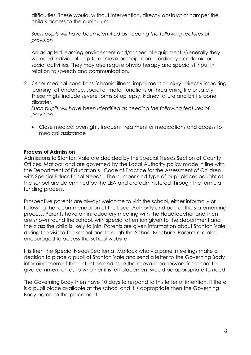difficulties. These would, without intervention, directly obstruct or hamper the child's access to the curriculum.

*Such pupils will have been identified as needing the following features of provision*

An adapted learning environment and/or special equipment. Generally they will need individual help to achieve participation in ordinary academic or social activities. They may also require physiotherapy and specialist input in relation to speech and communication.

2. Other medical conditions (chronic illness, impairment or injury) directly impairing learning, attendance, social or motor functions or threatening life or safety. These might include severe forms of epilepsy, kidney failure and brittle bone disorder.

*Such pupils will have been identified as needing the following features of provision.*

 Close medical oversight, frequent treatment or medications and access to medical assistance

### **Process of Admission**

Admissions to Stanton Vale are decided by the Special Needs Section at County Offices, Matlock and are governed by the Local Authority policy made in line with the Department of Education's "Code of Practice for the Assessment of Children with Special Educational Needs". The number and type of pupil places bought at the school are determined by the LEA and are administered through the formula funding process.

Prospective parents are always welcome to visit the school, either informally or following the recommendation of the Local Authority and part of the statementing process. Parents have an introductory meeting with the Headteacher and then are shown round the school, with special attention given to the department and the class the child is likely to join. Parents are given information about Stanton Vale during the visit to the school and through the School Brochure. Parents are also encouraged to access the school website

It is then the Special Needs Section at Matlock who via panel meetings make a decision to place a pupil at Stanton Vale and send a letter to the Governing Body informing them of their intention and issue the relevant paperwork for school to give comment on as to whether it is felt placement would be appropriate to need.

The Governing Body then have 10 days to respond to this letter of intention. If there is a pupil place available at the school and it is appropriate then the Governing Body agree to the placement.